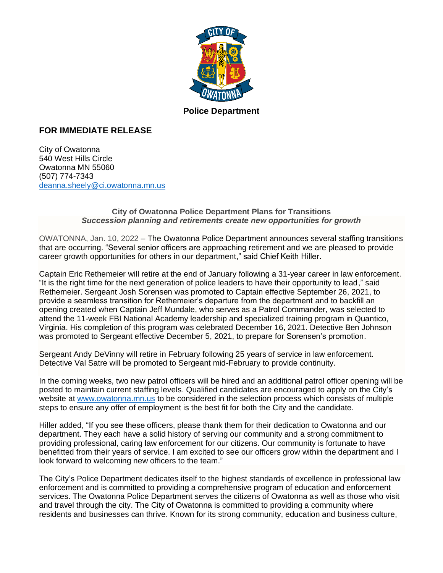

## **Police Department**

## **FOR IMMEDIATE RELEASE**

City of Owatonna 540 West Hills Circle Owatonna MN 55060 (507) 774-7343 [deanna.sheely@ci.owatonna.mn.us](mailto:deanna.sheely@ci.owatonna.mn.us)

## **City of Owatonna Police Department Plans for Transitions** *Succession planning and retirements create new opportunities for growth*

OWATONNA, Jan. 10, 2022 – The Owatonna Police Department announces several staffing transitions that are occurring. "Several senior officers are approaching retirement and we are pleased to provide career growth opportunities for others in our department," said Chief Keith Hiller.

Captain Eric Rethemeier will retire at the end of January following a 31-year career in law enforcement. "It is the right time for the next generation of police leaders to have their opportunity to lead," said Rethemeier. Sergeant Josh Sorensen was promoted to Captain effective September 26, 2021, to provide a seamless transition for Rethemeier's departure from the department and to backfill an opening created when Captain Jeff Mundale, who serves as a Patrol Commander, was selected to attend the 11-week FBI National Academy leadership and specialized training program in Quantico, Virginia. His completion of this program was celebrated December 16, 2021. Detective Ben Johnson was promoted to Sergeant effective December 5, 2021, to prepare for Sorensen's promotion.

Sergeant Andy DeVinny will retire in February following 25 years of service in law enforcement. Detective Val Satre will be promoted to Sergeant mid-February to provide continuity.

In the coming weeks, two new patrol officers will be hired and an additional patrol officer opening will be posted to maintain current staffing levels. Qualified candidates are encouraged to apply on the City's website at [www.owatonna.mn.us](http://www.owatonna.mn.us/) to be considered in the selection process which consists of multiple steps to ensure any offer of employment is the best fit for both the City and the candidate.

Hiller added, "If you see these officers, please thank them for their dedication to Owatonna and our department. They each have a solid history of serving our community and a strong commitment to providing professional, caring law enforcement for our citizens. Our community is fortunate to have benefitted from their years of service. I am excited to see our officers grow within the department and I look forward to welcoming new officers to the team."

The City's Police Department dedicates itself to the highest standards of excellence in professional law enforcement and is committed to providing a comprehensive program of education and enforcement services. The Owatonna Police Department serves the citizens of Owatonna as well as those who visit and travel through the city. The City of Owatonna is committed to providing a community where residents and businesses can thrive. Known for its strong community, education and business culture,